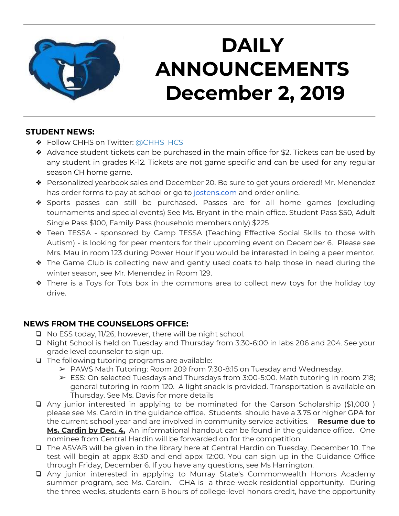

# **DAILY ANNOUNCEMENTS December 2, 2019**

### **STUDENT NEWS:**

- ❖ Follow CHHS on Twitter: [@CHHS\\_HCS](https://twitter.com/CHHS_HCS)
- ❖ Advance student tickets can be purchased in the main office for \$2. Tickets can be used by any student in grades K-12. Tickets are not game specific and can be used for any regular season CH home game.
- ❖ Personalized yearbook sales end December 20. Be sure to get yours ordered! Mr. Menendez has order forms to pay at school or go to [jostens.com](http://jostens.com/) and order online.
- ❖ Sports passes can still be purchased. Passes are for all home games (excluding tournaments and special events) See Ms. Bryant in the main office. Student Pass \$50, Adult Single Pass \$100, Family Pass (household members only) \$225
- ❖ Teen TESSA sponsored by Camp TESSA (Teaching Effective Social Skills to those with Autism) - is looking for peer mentors for their upcoming event on December 6. Please see Mrs. Mau in room 123 during Power Hour if you would be interested in being a peer mentor.
- ❖ The Game Club is collecting new and gently used coats to help those in need during the winter season, see Mr. Menendez in Room 129.
- ❖ There is a Toys for Tots box in the commons area to collect new toys for the holiday toy drive.

### **NEWS FROM THE COUNSELORS OFFICE:**

- ❏ No ESS today, 11/26; however, there will be night school.
- ❏ Night School is held on Tuesday and Thursday from 3:30-6:00 in labs 206 and 204. See your grade level counselor to sign up.
- ❏ The following tutoring programs are available:
	- ➢ PAWS Math Tutoring: Room 209 from 7:30-8:15 on Tuesday and Wednesday.
	- ➢ ESS: On selected Tuesdays and Thursdays from 3:00-5:00. Math tutoring in room 218; general tutoring in room 120. A light snack is provided. Transportation is available on Thursday. See Ms. Davis for more details
- ❏ Any junior interested in applying to be nominated for the Carson Scholarship (\$1,000 ) please see Ms. Cardin in the guidance office. Students should have a 3.75 or higher GPA for the current school year and are involved in community service activities. **Resume due to Ms. Cardin by Dec. 4,** An informational handout can be found in the guidance office. One nominee from Central Hardin will be forwarded on for the competition.
- ❏ The ASVAB will be given in the library here at Central Hardin on Tuesday, December 10. The test will begin at appx 8:30 and end appx 12:00. You can sign up in the Guidance Office through Friday, December 6. If you have any questions, see Ms Harrington.
- ❏ Any junior interested in applying to Murray State's Commonwealth Honors Academy summer program, see Ms. Cardin. CHA is a three-week residential opportunity. During the three weeks, students earn 6 hours of college-level honors credit, have the opportunity